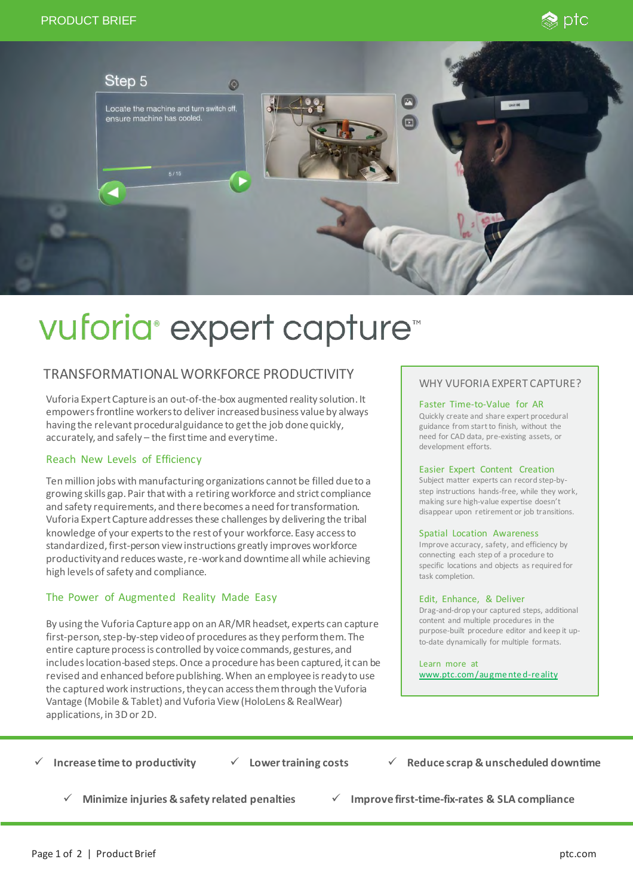



# vuforia<sup>®</sup> expert capture<sup>™</sup>

## TRANSFORMATIONAL WORKFORCE PRODUCTIVITY WHY VUFORIA EXPERT CAPTURE?

Vuforia Expert Capture is an out-of-the-box augmented reality solution. It empowersfrontline workersto deliver increased business value by always having the relevant procedural guidance to get the job done quickly, accurately, and safely – the first time and every time.

#### Reach New Levels of Efficiency

Ten million jobs with manufacturing organizations cannot be filled due to a growing skills gap. Pair that with a retiring workforce and strict compliance and safety requirements, and there becomes a need for transformation. Vuforia Expert Capture addresses these challenges by delivering the tribal knowledge of your experts to the rest of your workforce. Easy access to standardized, first-person view instructions greatly improves workforce productivity and reduces waste, re-work and downtime all while achieving high levels of safety and compliance.

#### The Power of Augmented Reality Made Easy

By using the Vuforia Capture app on an AR/MR headset, experts can capture first-person, step-by-step video of procedures as they perform them. The entire capture process is controlled by voice commands, gestures, and includes location-based steps. Once a procedure has been captured, it can be revised and enhanced before publishing. When an employee is ready to use the captured work instructions, they can access them through the Vuforia Vantage (Mobile & Tablet) and Vuforia View (HoloLens & RealWear) applications, in 3D or 2D.

#### Faster Time-to-Value for AR

Quickly create and share expert procedural guidance from start to finish, without the need for CAD data, pre-existing assets, or development efforts.

#### Easier Expert Content Creation

Subject matter experts can record step-bystep instructions hands-free, while they work, making sure high-value expertise doesn't disappear upon retirement or job transitions.

#### Spatial Location Awareness

Improve accuracy, safety, and efficiency by connecting each step of a procedure to specific locations and objects as required for task completion.

#### Edit, Enhance, & Deliver

Drag-and-drop your captured steps, additional content and multiple procedures in the purpose-built procedure editor and keep it upto-date dynamically for multiple formats.

#### Learn more at

[www.ptc.com/augme nte d-re ality](https://www.ptc.com/en/products/augmented-reality)

✓ **Increase time to productivity** ✓ **Lower training costs** 

✓ **Reduce scrap & unscheduled downtime**

- 
- ✓ **Minimize injuries & safety related penalties** ✓ **Improve first-time-fix-rates & SLA compliance**